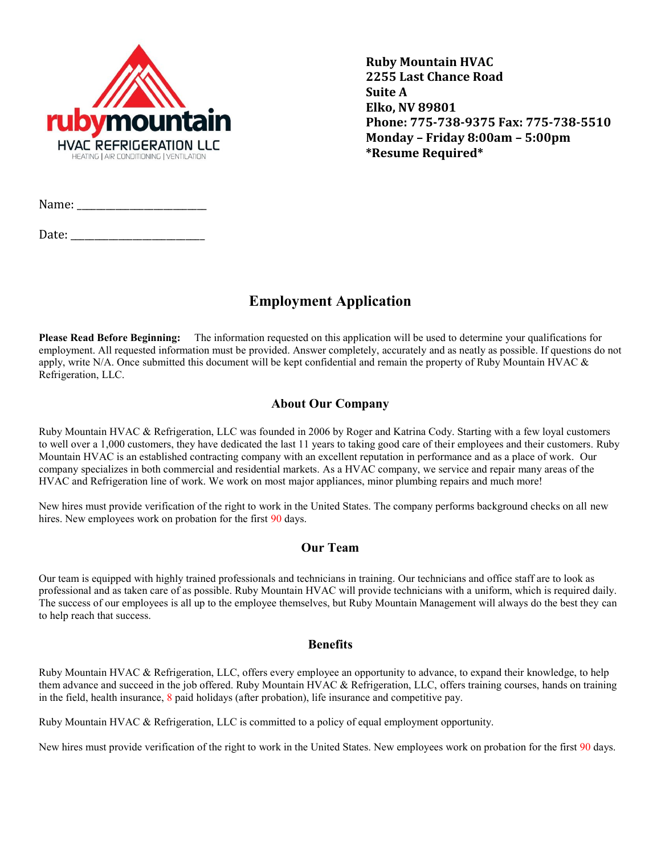

**Ruby Mountain HVAC 2255 Last Chance Road Suite A Elko, NV 89801 Phone: 775-738-9375 Fax: 775-738-5510 Monday – Friday 8:00am – 5:00pm \*Resume Required\***

Name: \_\_\_\_\_\_\_\_\_\_\_\_\_\_\_\_\_\_\_\_\_\_\_\_\_\_\_

Date: \_\_\_\_\_\_\_\_\_\_\_\_\_\_\_\_\_\_\_\_\_\_\_\_\_\_\_\_

# **Employment Application**

**Please Read Before Beginning:** The information requested on this application will be used to determine your qualifications for employment. All requested information must be provided. Answer completely, accurately and as neatly as possible. If questions do not apply, write N/A. Once submitted this document will be kept confidential and remain the property of Ruby Mountain HVAC  $\&$ Refrigeration, LLC.

### **About Our Company**

Ruby Mountain HVAC & Refrigeration, LLC was founded in 2006 by Roger and Katrina Cody. Starting with a few loyal customers to well over a 1,000 customers, they have dedicated the last 11 years to taking good care of their employees and their customers. Ruby Mountain HVAC is an established contracting company with an excellent reputation in performance and as a place of work. Our company specializes in both commercial and residential markets. As a HVAC company, we service and repair many areas of the HVAC and Refrigeration line of work. We work on most major appliances, minor plumbing repairs and much more!

New hires must provide verification of the right to work in the United States. The company performs background checks on all new hires. New employees work on probation for the first 90 days.

### **Our Team**

Our team is equipped with highly trained professionals and technicians in training. Our technicians and office staff are to look as professional and as taken care of as possible. Ruby Mountain HVAC will provide technicians with a uniform, which is required daily. The success of our employees is all up to the employee themselves, but Ruby Mountain Management will always do the best they can to help reach that success.

#### **Benefits**

Ruby Mountain HVAC & Refrigeration, LLC, offers every employee an opportunity to advance, to expand their knowledge, to help them advance and succeed in the job offered. Ruby Mountain HVAC & Refrigeration, LLC, offers training courses, hands on training in the field, health insurance, 8 paid holidays (after probation), life insurance and competitive pay.

Ruby Mountain HVAC & Refrigeration, LLC is committed to a policy of equal employment opportunity.

New hires must provide verification of the right to work in the United States. New employees work on probation for the first 90 days.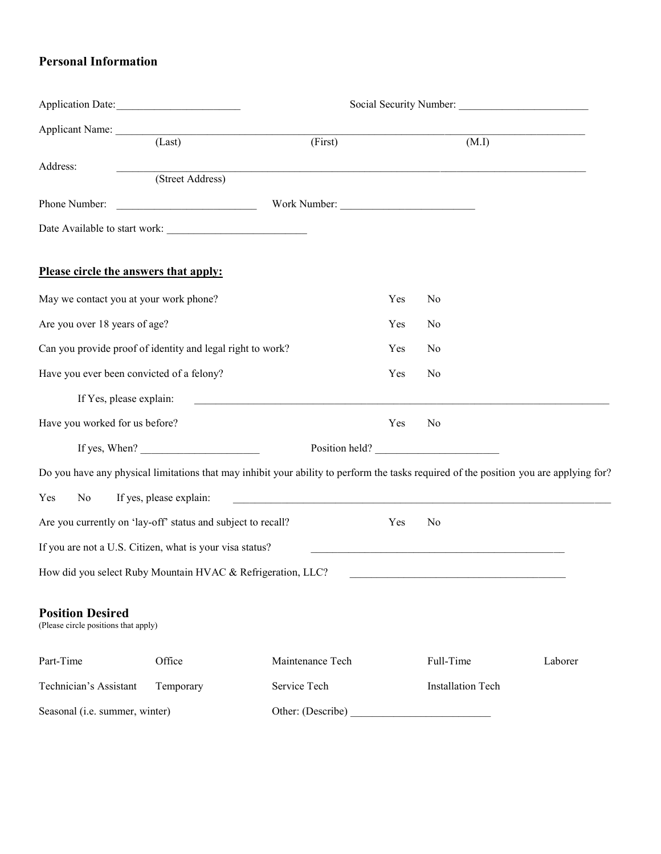## **Personal Information**

| Application Date:                                               |                         |                                                                                                                                        |                |                                                                                 |         |
|-----------------------------------------------------------------|-------------------------|----------------------------------------------------------------------------------------------------------------------------------------|----------------|---------------------------------------------------------------------------------|---------|
| Applicant Name: (Last)                                          |                         | (First)                                                                                                                                |                | (M.I)                                                                           |         |
| Address:                                                        | (Street Address)        |                                                                                                                                        |                |                                                                                 |         |
| Phone Number:                                                   |                         | Work Number:                                                                                                                           |                |                                                                                 |         |
|                                                                 |                         |                                                                                                                                        |                |                                                                                 |         |
| Please circle the answers that apply:                           |                         |                                                                                                                                        |                |                                                                                 |         |
| May we contact you at your work phone?                          |                         |                                                                                                                                        | Yes            | No                                                                              |         |
| Are you over 18 years of age?                                   |                         | Yes                                                                                                                                    | N <sub>0</sub> |                                                                                 |         |
| Can you provide proof of identity and legal right to work?      |                         | Yes                                                                                                                                    | N <sub>0</sub> |                                                                                 |         |
| Have you ever been convicted of a felony?                       |                         |                                                                                                                                        | Yes            | No                                                                              |         |
| If Yes, please explain:                                         |                         |                                                                                                                                        |                |                                                                                 |         |
| Have you worked for us before?                                  |                         |                                                                                                                                        | Yes            | N <sub>0</sub>                                                                  |         |
|                                                                 | If yes, When?           |                                                                                                                                        |                | Position held?                                                                  |         |
|                                                                 |                         | Do you have any physical limitations that may inhibit your ability to perform the tasks required of the position you are applying for? |                |                                                                                 |         |
| Yes<br>No                                                       | If yes, please explain: |                                                                                                                                        |                |                                                                                 |         |
| Are you currently on 'lay-off' status and subject to recall?    |                         |                                                                                                                                        | Yes            | No                                                                              |         |
| If you are not a U.S. Citizen, what is your visa status?        |                         |                                                                                                                                        |                | the contract of the contract of the contract of the contract of the contract of |         |
| How did you select Ruby Mountain HVAC & Refrigeration, LLC?     |                         |                                                                                                                                        |                |                                                                                 |         |
| <b>Position Desired</b><br>(Please circle positions that apply) |                         |                                                                                                                                        |                |                                                                                 |         |
| Part-Time                                                       | Office                  | Maintenance Tech                                                                                                                       |                | Full-Time                                                                       | Laborer |
| Technician's Assistant                                          | Temporary               | Service Tech                                                                                                                           |                | <b>Installation Tech</b>                                                        |         |
| Seasonal (i.e. summer, winter)                                  |                         |                                                                                                                                        |                |                                                                                 |         |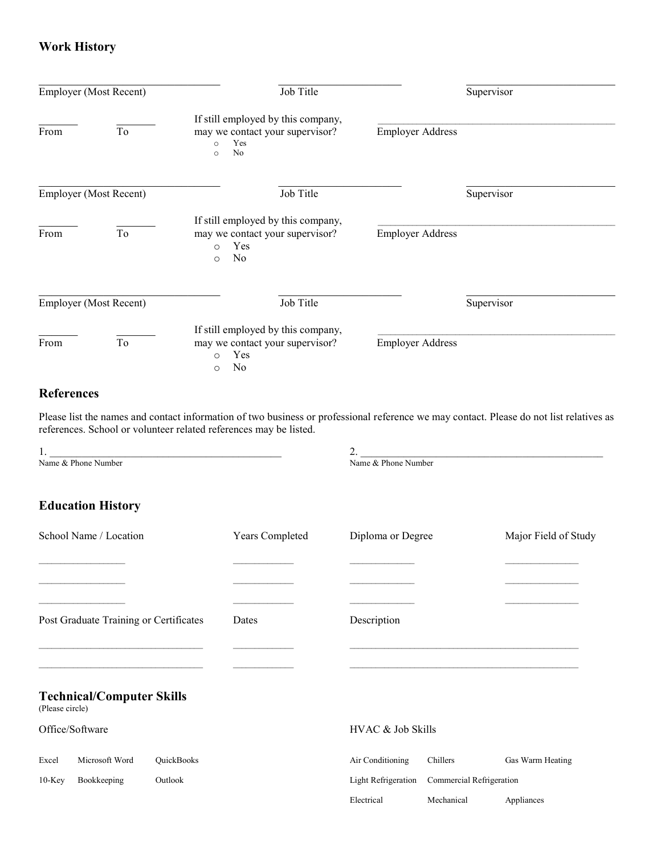## **Work History**

| <b>Employer</b> (Most Recent) |                               | Job Title                                                                                                 |                         |            |
|-------------------------------|-------------------------------|-----------------------------------------------------------------------------------------------------------|-------------------------|------------|
| From                          | To                            | If still employed by this company,<br>may we contact your supervisor?<br>Yes<br>$\circ$<br>No<br>$\circ$  | <b>Employer Address</b> |            |
|                               | <b>Employer</b> (Most Recent) | Job Title                                                                                                 |                         | Supervisor |
| From                          | To                            | If still employed by this company,<br>may we contact your supervisor?<br>Yes<br>$\Omega$<br>No<br>$\circ$ | <b>Employer Address</b> |            |
|                               | <b>Employer</b> (Most Recent) | Job Title                                                                                                 |                         | Supervisor |
| From                          | To                            | If still employed by this company,<br>may we contact your supervisor?<br>Yes<br>$\Omega$<br>No<br>$\circ$ | <b>Employer Address</b> |            |

## **References**

Please list the names and contact information of two business or professional reference we may contact. Please do not list relatives as references. School or volunteer related references may be listed.

1.  $2.$ Name & Phone Number Name and The Phone Number Name and The Phone Number Name and The Phone Number

## **Education History**

| School Name / Location                 |                                  | <b>Years Completed</b> | Diploma or Degree |                            | Major Field of Study     |                  |
|----------------------------------------|----------------------------------|------------------------|-------------------|----------------------------|--------------------------|------------------|
|                                        |                                  |                        |                   |                            |                          |                  |
|                                        |                                  |                        |                   |                            |                          |                  |
| Post Graduate Training or Certificates |                                  | Dates                  | Description       |                            |                          |                  |
|                                        |                                  |                        |                   |                            |                          |                  |
| (Please circle)                        | <b>Technical/Computer Skills</b> |                        |                   |                            |                          |                  |
|                                        | Office/Software                  |                        |                   | HVAC & Job Skills          |                          |                  |
| Excel                                  | Microsoft Word                   | QuickBooks             |                   | Air Conditioning           | Chillers                 | Gas Warm Heating |
| $10$ -Key                              | Bookkeeping                      | Outlook                |                   | <b>Light Refrigeration</b> | Commercial Refrigeration |                  |
|                                        |                                  |                        |                   | Electrical                 | Mechanical               | Appliances       |